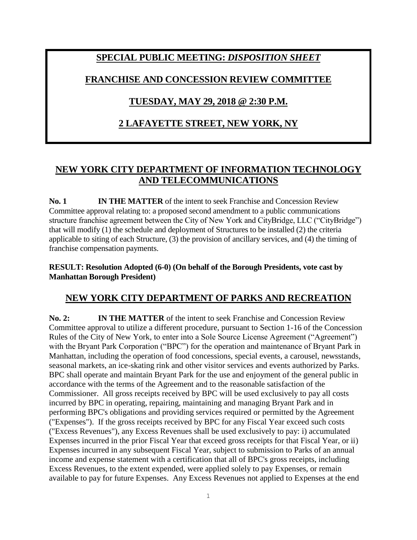# **SPECIAL PUBLIC MEETING:** *DISPOSITION SHEET*

### **FRANCHISE AND CONCESSION REVIEW COMMITTEE**

### **TUESDAY, MAY 29, 2018 @ 2:30 P.M.**

# **2 LAFAYETTE STREET, NEW YORK, NY**

# **NEW YORK CITY DEPARTMENT OF INFORMATION TECHNOLOGY AND TELECOMMUNICATIONS**

**No. 1 IN THE MATTER** of the intent to seek Franchise and Concession Review Committee approval relating to: a proposed second amendment to a public communications structure franchise agreement between the City of New York and CityBridge, LLC ("CityBridge") that will modify (1) the schedule and deployment of Structures to be installed (2) the criteria applicable to siting of each Structure, (3) the provision of ancillary services, and (4) the timing of franchise compensation payments.

### **RESULT: Resolution Adopted (6-0) (On behalf of the Borough Presidents, vote cast by Manhattan Borough President)**

# **NEW YORK CITY DEPARTMENT OF PARKS AND RECREATION**

**No. 2: IN THE MATTER** of the intent to seek Franchise and Concession Review Committee approval to utilize a different procedure, pursuant to Section 1-16 of the Concession Rules of the City of New York, to enter into a Sole Source License Agreement ("Agreement") with the Bryant Park Corporation ("BPC") for the operation and maintenance of Bryant Park in Manhattan, including the operation of food concessions, special events, a carousel, newsstands, seasonal markets, an ice-skating rink and other visitor services and events authorized by Parks. BPC shall operate and maintain Bryant Park for the use and enjoyment of the general public in accordance with the terms of the Agreement and to the reasonable satisfaction of the Commissioner. All gross receipts received by BPC will be used exclusively to pay all costs incurred by BPC in operating, repairing, maintaining and managing Bryant Park and in performing BPC's obligations and providing services required or permitted by the Agreement ("Expenses"). If the gross receipts received by BPC for any Fiscal Year exceed such costs ("Excess Revenues"), any Excess Revenues shall be used exclusively to pay: i) accumulated Expenses incurred in the prior Fiscal Year that exceed gross receipts for that Fiscal Year, or ii) Expenses incurred in any subsequent Fiscal Year, subject to submission to Parks of an annual income and expense statement with a certification that all of BPC's gross receipts, including Excess Revenues, to the extent expended, were applied solely to pay Expenses, or remain available to pay for future Expenses. Any Excess Revenues not applied to Expenses at the end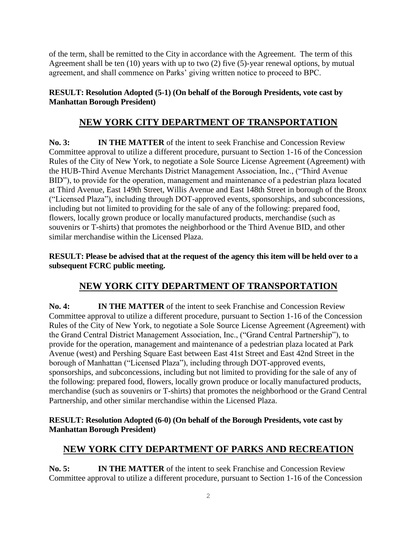of the term, shall be remitted to the City in accordance with the Agreement. The term of this Agreement shall be ten (10) years with up to two (2) five (5)-year renewal options, by mutual agreement, and shall commence on Parks' giving written notice to proceed to BPC.

### **RESULT: Resolution Adopted (5-1) (On behalf of the Borough Presidents, vote cast by Manhattan Borough President)**

### **NEW YORK CITY DEPARTMENT OF TRANSPORTATION**

**No. 3: IN THE MATTER** of the intent to seek Franchise and Concession Review Committee approval to utilize a different procedure, pursuant to Section 1-16 of the Concession Rules of the City of New York, to negotiate a Sole Source License Agreement (Agreement) with the HUB-Third Avenue Merchants District Management Association, Inc., ("Third Avenue BID"), to provide for the operation, management and maintenance of a pedestrian plaza located at Third Avenue, East 149th Street, Willis Avenue and East 148th Street in borough of the Bronx ("Licensed Plaza"), including through DOT-approved events, sponsorships, and subconcessions, including but not limited to providing for the sale of any of the following: prepared food, flowers, locally grown produce or locally manufactured products, merchandise (such as souvenirs or T-shirts) that promotes the neighborhood or the Third Avenue BID, and other similar merchandise within the Licensed Plaza.

**RESULT: Please be advised that at the request of the agency this item will be held over to a subsequent FCRC public meeting.**

# **NEW YORK CITY DEPARTMENT OF TRANSPORTATION**

**No. 4: IN THE MATTER** of the intent to seek Franchise and Concession Review Committee approval to utilize a different procedure, pursuant to Section 1-16 of the Concession Rules of the City of New York, to negotiate a Sole Source License Agreement (Agreement) with the Grand Central District Management Association, Inc., ("Grand Central Partnership"), to provide for the operation, management and maintenance of a pedestrian plaza located at Park Avenue (west) and Pershing Square East between East 41st Street and East 42nd Street in the borough of Manhattan ("Licensed Plaza"), including through DOT-approved events, sponsorships, and subconcessions, including but not limited to providing for the sale of any of the following: prepared food, flowers, locally grown produce or locally manufactured products, merchandise (such as souvenirs or T-shirts) that promotes the neighborhood or the Grand Central Partnership, and other similar merchandise within the Licensed Plaza.

#### **RESULT: Resolution Adopted (6-0) (On behalf of the Borough Presidents, vote cast by Manhattan Borough President)**

### **NEW YORK CITY DEPARTMENT OF PARKS AND RECREATION**

**No. 5: IN THE MATTER** of the intent to seek Franchise and Concession Review Committee approval to utilize a different procedure, pursuant to Section 1-16 of the Concession